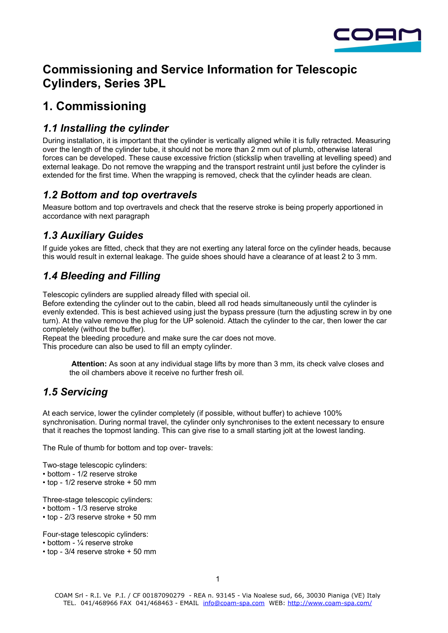

# **Commissioning and Service Information for Telescopic Cylinders, Series 3PL**

# **1. Commissioning**

## *1.1 Installing the cylinder*

During installation, it is important that the cylinder is vertically aligned while it is fully retracted. Measuring over the length of the cylinder tube, it should not be more than 2 mm out of plumb, otherwise lateral forces can be developed. These cause excessive friction (stickslip when travelling at levelling speed) and external leakage. Do not remove the wrapping and the transport restraint until just before the cylinder is extended for the first time. When the wrapping is removed, check that the cylinder heads are clean.

## *1.2 Bottom and top overtravels*

Measure bottom and top overtravels and check that the reserve stroke is being properly apportioned in accordance with next paragraph

## *1.3 Auxiliary Guides*

If guide yokes are fitted, check that they are not exerting any lateral force on the cylinder heads, because this would result in external leakage. The guide shoes should have a clearance of at least 2 to 3 mm.

## *1.4 Bleeding and Filling*

Telescopic cylinders are supplied already filled with special oil.

Before extending the cylinder out to the cabin, bleed all rod heads simultaneously until the cylinder is evenly extended. This is best achieved using just the bypass pressure (turn the adjusting screw in by one turn). At the valve remove the plug for the UP solenoid. Attach the cylinder to the car, then lower the car completely (without the buffer).

Repeat the bleeding procedure and make sure the car does not move.

This procedure can also be used to fill an empty cylinder.

**Attention:** As soon at any individual stage lifts by more than 3 mm, its check valve closes and the oil chambers above it receive no further fresh oil.

## *1.5 Servicing*

At each service, lower the cylinder completely (if possible, without buffer) to achieve 100% synchronisation. During normal travel, the cylinder only synchronises to the extent necessary to ensure that it reaches the topmost landing. This can give rise to a small starting jolt at the lowest landing.

The Rule of thumb for bottom and top over- travels:

Two-stage telescopic cylinders:

- bottom 1/2 reserve stroke
- top 1/2 reserve stroke + 50 mm
- Three-stage telescopic cylinders:
- bottom 1/3 reserve stroke
- top 2/3 reserve stroke + 50 mm

Four-stage telescopic cylinders:

- bottom ¼ reserve stroke
- top 3/4 reserve stroke + 50 mm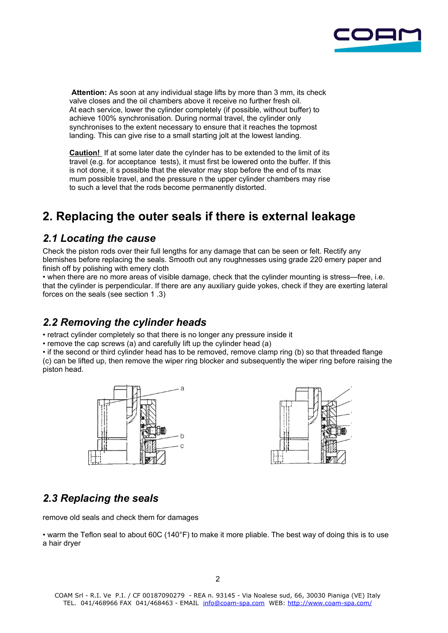

**Attention:** As soon at any individual stage lifts by more than 3 mm, its check valve closes and the oil chambers above it receive no further fresh oil. At each service, lower the cylinder completely (if possible, without buffer) to achieve 100% synchronisation. During normal travel, the cylinder only synchronises to the extent necessary to ensure that it reaches the topmost landing. This can give rise to a small starting jolt at the lowest landing.

**Caution!** If at some later date the cylnder has to be extended to the limit of its travel (e.g. for acceptance tests), it must first be lowered onto the buffer. If this is not done, it s possible that the elevator may stop before the end of ts max mum possible travel, and the pressure n the upper cylinder chambers may rise to such a level that the rods become permanently distorted.

# **2. Replacing the outer seals if there is external leakage**

#### *2.1 Locating the cause*

Check the piston rods over their full lengths for any damage that can be seen or felt. Rectify any blemishes before replacing the seals. Smooth out any roughnesses using grade 220 emery paper and finish off by polishing with emery cloth

• when there are no more areas of visible damage, check that the cylinder mounting is stress—free, i.e. that the cylinder is perpendicular. If there are any auxiliary guide yokes, check if they are exerting lateral forces on the seals (see section 1 .3)

### *2.2 Removing the cylinder heads*

• retract cylinder completely so that there is no longer any pressure inside it

• remove the cap screws (a) and carefully lift up the cylinder head (a)

• if the second or third cylinder head has to be removed, remove clamp ring (b) so that threaded flange (c) can be lifted up, then remove the wiper ring blocker and subsequently the wiper ring before raising the piston head.





## *2.3 Replacing the seals*

remove old seals and check them for damages

• warm the Teflon seal to about 60C (140°F) to make it more pliable. The best way of doing this is to use a hair dryer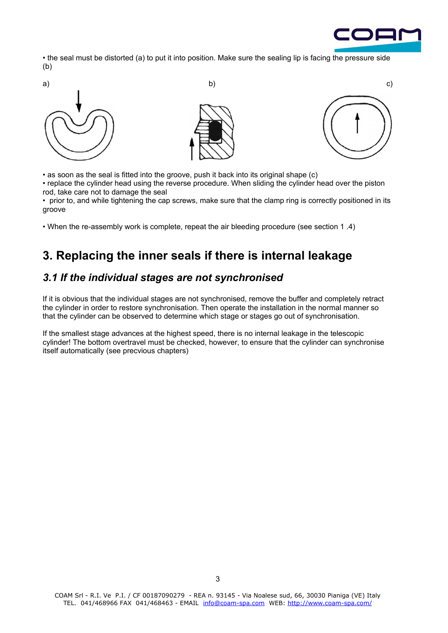

• the seal must be distorted (a) to put it into position. Make sure the sealing lip is facing the pressure side (b)



• as soon as the seal is fitted into the groove, push it back into its original shape (c)

• replace the cylinder head using the reverse procedure. When sliding the cylinder head over the piston rod, take care not to damage the seal

• prior to, and while tightening the cap screws, make sure that the clamp ring is correctly positioned in its groove

• When the re-assembly work is complete, repeat the air bleeding procedure (see section 1 .4)

# **3. Replacing the inner seals if there is internal leakage**

#### *3.1 If the individual stages are not synchronised*

If it is obvious that the individual stages are not synchronised, remove the buffer and completely retract the cylinder in order to restore synchronisation. Then operate the installation in the normal manner so that the cylinder can be observed to determine which stage or stages go out of synchronisation.

If the smallest stage advances at the highest speed, there is no internal leakage in the telescopic cylinder! The bottom overtravel must be checked, however, to ensure that the cylinder can synchronise itself automatically (see precvious chapters)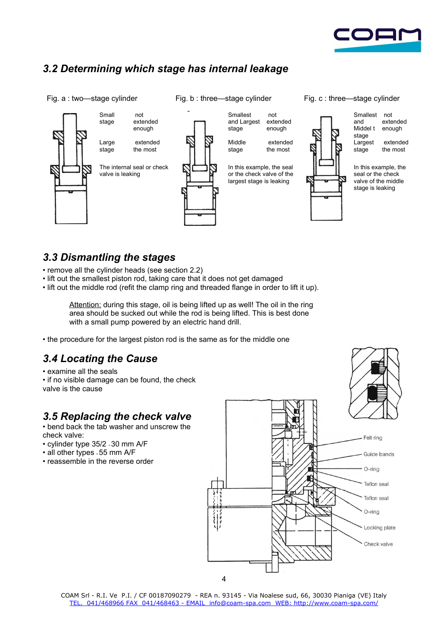

## *3.2 Determining which stage has internal leakage*

Fig. a : two—stage cylinder Fig. b : three—stage cylinder Fig. c : three—stage cylinder



#### *3.3 Dismantling the stages*

- remove all the cylinder heads (see section 2.2)
- lift out the smallest piston rod, taking care that it does not get damaged
- lift out the middle rod (refit the clamp ring and threaded flange in order to lift it up).

Attention: during this stage, oil is being lifted up as well! The oil in the ring area should be sucked out while the rod is being lifted. This is best done with a small pump powered by an electric hand drill.

• the procedure for the largest piston rod is the same as for the middle one

## *3.4 Locating the Cause*

• examine all the seals

• if no visible damage can be found, the check valve is the cause

#### *3.5 Replacing the check valve*

• bend back the tab washer and unscrew the check valve:

- cylinder type 35/2 = 30 mm A/F
- all other types = 55 mm A/F
- reassemble in the reverse order